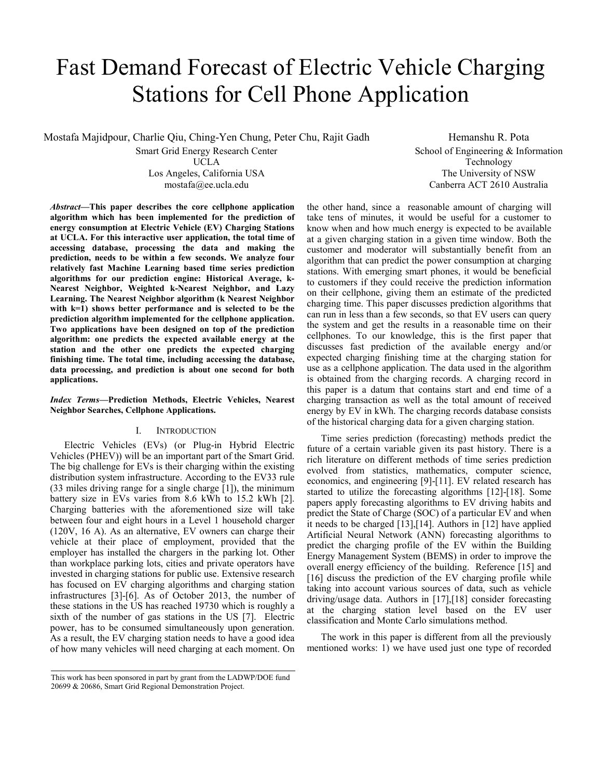# Fast Demand Forecast of Electric Vehicle Charging Stations for Cell Phone Application

Mostafa Majidpour, Charlie Qiu, Ching-Yen Chung, Peter Chu, Rajit Gadh

Smart Grid Energy Research Center UCLA Los Angeles, California USA mostafa@ee.ucla.edu

Hemanshu R. Pota School of Engineering & Information Technology The University of NSW Canberra ACT 2610 Australia

*Abstract***—This paper describes the core cellphone application algorithm which has been implemented for the prediction of energy consumption at Electric Vehicle (EV) Charging Stations at UCLA. For this interactive user application, the total time of accessing database, processing the data and making the prediction, needs to be within a few seconds. We analyze four relatively fast Machine Learning based time series prediction algorithms for our prediction engine: Historical Average, k-Nearest Neighbor, Weighted k-Nearest Neighbor, and Lazy Learning. The Nearest Neighbor algorithm (k Nearest Neighbor with k=1) shows better performance and is selected to be the prediction algorithm implemented for the cellphone application. Two applications have been designed on top of the prediction algorithm: one predicts the expected available energy at the station and the other one predicts the expected charging finishing time. The total time, including accessing the database, data processing, and prediction is about one second for both applications.** 

*Index Terms***—Prediction Methods, Electric Vehicles, Nearest Neighbor Searches, Cellphone Applications.** 

# I. INTRODUCTION

Electric Vehicles (EVs) (or Plug-in Hybrid Electric Vehicles (PHEV)) will be an important part of the Smart Grid. The big challenge for EVs is their charging within the existing distribution system infrastructure. According to the EV33 rule (33 miles driving range for a single charge [1]), the minimum battery size in EVs varies from 8.6 kWh to 15.2 kWh [2]. Charging batteries with the aforementioned size will take between four and eight hours in a Level 1 household charger (120V, 16 A). As an alternative, EV owners can charge their vehicle at their place of employment, provided that the employer has installed the chargers in the parking lot. Other than workplace parking lots, cities and private operators have invested in charging stations for public use. Extensive research has focused on EV charging algorithms and charging station infrastructures [3]-[6]. As of October 2013, the number of these stations in the US has reached 19730 which is roughly a sixth of the number of gas stations in the US [7]. Electric power, has to be consumed simultaneously upon generation. As a result, the EV charging station needs to have a good idea of how many vehicles will need charging at each moment. On

the other hand, since a reasonable amount of charging will take tens of minutes, it would be useful for a customer to know when and how much energy is expected to be available at a given charging station in a given time window. Both the customer and moderator will substantially benefit from an algorithm that can predict the power consumption at charging stations. With emerging smart phones, it would be beneficial to customers if they could receive the prediction information on their cellphone, giving them an estimate of the predicted charging time. This paper discusses prediction algorithms that can run in less than a few seconds, so that EV users can query the system and get the results in a reasonable time on their cellphones. To our knowledge, this is the first paper that discusses fast prediction of the available energy and/or expected charging finishing time at the charging station for use as a cellphone application. The data used in the algorithm is obtained from the charging records. A charging record in this paper is a datum that contains start and end time of a charging transaction as well as the total amount of received energy by EV in kWh. The charging records database consists of the historical charging data for a given charging station.

Time series prediction (forecasting) methods predict the future of a certain variable given its past history. There is a rich literature on different methods of time series prediction evolved from statistics, mathematics, computer science, economics, and engineering [9]-[11]. EV related research has started to utilize the forecasting algorithms [12]-[18]. Some papers apply forecasting algorithms to EV driving habits and predict the State of Charge (SOC) of a particular EV and when it needs to be charged [13],[14]. Authors in [12] have applied Artificial Neural Network (ANN) forecasting algorithms to predict the charging profile of the EV within the Building Energy Management System (BEMS) in order to improve the overall energy efficiency of the building. Reference [15] and [16] discuss the prediction of the EV charging profile while taking into account various sources of data, such as vehicle driving/usage data. Authors in [17],[18] consider forecasting at the charging station level based on the EV user classification and Monte Carlo simulations method.

The work in this paper is different from all the previously mentioned works: 1) we have used just one type of recorded

This work has been sponsored in part by grant from the LADWP/DOE fund 20699 & 20686, Smart Grid Regional Demonstration Project.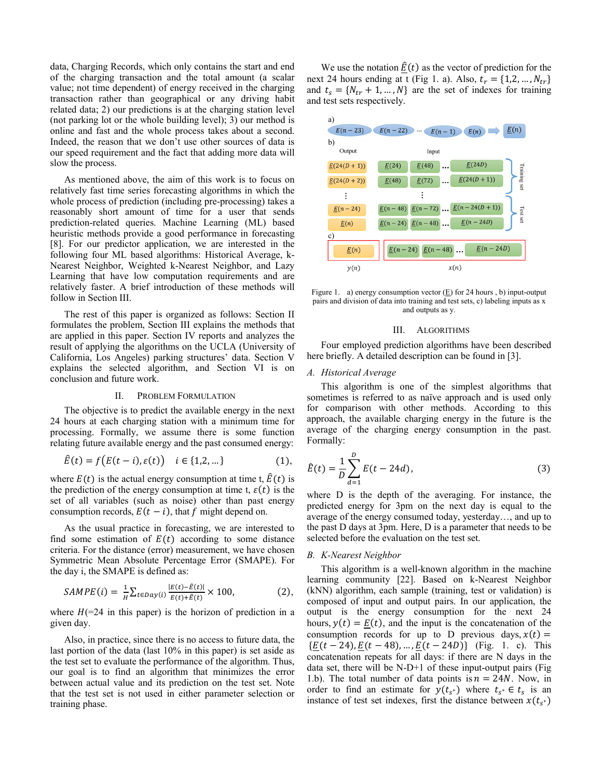data, Charging Records, which only contains the start and end of the charging transaction and the total amount (a scalar value; not time dependent) of energy received in the charging transaction rather than geographical or any driving habit related data; 2) our predictions is at the charging station level (not parking lot or the whole building level); 3) our method is online and fast and the whole process takes about a second. Indeed, the reason that we don't use other sources of data is our speed requirement and the fact that adding more data will slow the process.

As mentioned above, the aim of this work is to focus on relatively fast time series forecasting algorithms in which the whole process of prediction (including pre-processing) takes a reasonably short amount of time for a user that sends prediction-related queries. Machine Learning (ML) based heuristic methods provide a good performance in forecasting [8]. For our predictor application, we are interested in the following four ML based algorithms: Historical Average, k-Nearest Neighbor, Weighted k-Nearest Neighbor, and Lazy Learning that have low computation requirements and are relatively faster. A brief introduction of these methods will follow in Section III.

The rest of this paper is organized as follows: Section II formulates the problem, Section III explains the methods that are applied in this paper. Section IV reports and analyzes the result of applying the algorithms on the UCLA (University of California, Los Angeles) parking structures' data. Section V explains the selected algorithm, and Section VI is on conclusion and future work.

#### II. PROBLEM FORMULATION

The objective is to predict the available energy in the next 24 hours at each charging station with a minimum time for processing. Formally, we assume there is some function relating future available energy and the past consumed energy:

$$
\hat{E}(t) = f(E(t - i), \varepsilon(t)) \quad i \in \{1, 2, \dots\}
$$
 (1),

where  $E(t)$  is the actual energy consumption at time t,  $\hat{E}(t)$  is the prediction of the energy consumption at time t,  $\varepsilon(t)$  is the set of all variables (such as noise) other than past energy consumption records,  $E(t - i)$ , that f might depend on.

As the usual practice in forecasting, we are interested to find some estimation of  $E(t)$  according to some distance criteria. For the distance (error) measurement, we have chosen Symmetric Mean Absolute Percentage Error (SMAPE). For the day i, the SMAPE is defined as:

$$
SAMPE(i) = \frac{1}{H} \sum_{t \in Day(i)} \frac{|E(t) - \hat{E}(t)|}{E(t) + \hat{E}(t)} \times 100,
$$
 (2),

where  $H(=24$  in this paper) is the horizon of prediction in a given day.

Also, in practice, since there is no access to future data, the last portion of the data (last 10% in this paper) is set aside as the test set to evaluate the performance of the algorithm. Thus, our goal is to find an algorithm that minimizes the error between actual value and its prediction on the test set. Note that the test set is not used in either parameter selection or training phase.

We use the notation  $\underline{\hat{E}}(t)$  as the vector of prediction for the next 24 hours ending at t (Fig 1. a). Also,  $t_r = \{1, 2, ..., N_{tr}\}\$ and  $t_s = \{ N_{tr} + 1, ..., N \}$  are the set of indexes for training and test sets respectively.



Figure 1. a) energy consumption vector  $(E)$  for 24 hours, b) input-output pairs and division of data into training and test sets, c) labeling inputs as x and outputs as y.

#### III. ALGORITHMS

Four employed prediction algorithms have been described here briefly. A detailed description can be found in [3].

## *A. Historical Average*

This algorithm is one of the simplest algorithms that sometimes is referred to as naïve approach and is used only for comparison with other methods. According to this approach, the available charging energy in the future is the average of the charging energy consumption in the past. Formally:

$$
\hat{E}(t) = \frac{1}{D} \sum_{d=1}^{D} E(t - 24d),
$$
\n(3)

where D is the depth of the averaging. For instance, the predicted energy for 3pm on the next day is equal to the average of the energy consumed today, yesterday…, and up to the past D days at 3pm. Here, D is a parameter that needs to be selected before the evaluation on the test set.

## *B. K-Nearest Neighbor*

This algorithm is a well-known algorithm in the machine learning community [22]. Based on k-Nearest Neighbor (kNN) algorithm, each sample (training, test or validation) is composed of input and output pairs. In our application, the output is the energy consumption for the next 24 hours,  $y(t) = E(t)$ , and the input is the concatenation of the consumption records for up to D previous days,  $x(t) =$  ${E(t - 24), E(t - 48), ..., E(t - 24D)}$  (Fig. 1. c). This concatenation repeats for all days: if there are N days in the data set, there will be N-D+1 of these input-output pairs (Fig 1.b). The total number of data points is  $n = 24N$ . Now, in order to find an estimate for  $y(t_{s^*})$  where  $t_{s^*} \in t_s$  is an instance of test set indexes, first the distance between  $x(t_{s^*})$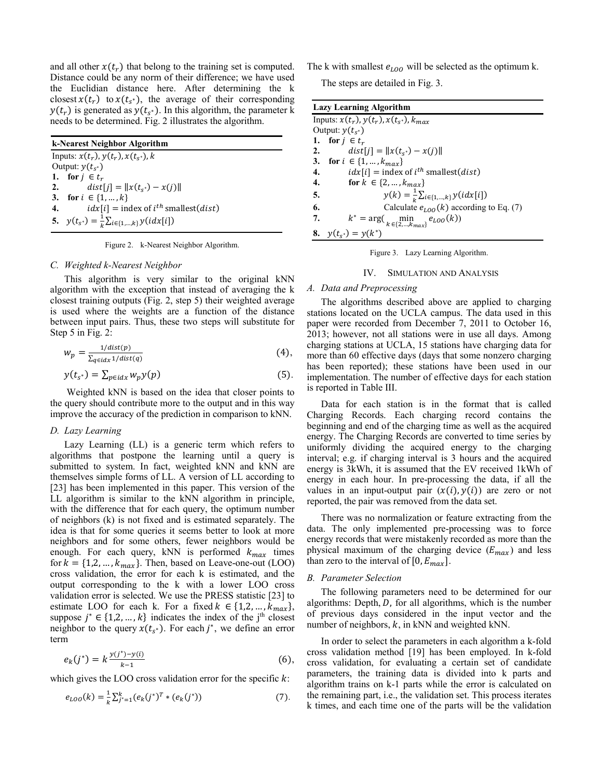and all other  $x(t_r)$  that belong to the training set is computed. Distance could be any norm of their difference; we have used the Euclidian distance here. After determining the k closest  $x(t_r)$  to  $x(t_{s^*})$ , the average of their corresponding  $y(t_r)$  is generated as  $y(t_{s^*})$ . In this algorithm, the parameter k needs to be determined. Fig. 2 illustrates the algorithm.

| k-Nearest Neighbor Algorithm                                         |
|----------------------------------------------------------------------|
| Inputs: $x(t_r)$ , $y(t_r)$ , $x(t_{s^*})$ , k                       |
| Output: $v(t_{s^*})$                                                 |
| 1. for $i \in t_r$                                                   |
| $dist[j] =   x(t_{s^*}) - x(j)  $<br>2.                              |
| 3. for $i \in \{1, , k\}$                                            |
| $idx[i]$ = index of $i^{th}$ smallest( <i>dist</i> )<br>4.           |
| 5. $y(t_{s^*}) = \frac{1}{k} \sum_{i \in \{1, \dots, k\}} y(idx[i])$ |

Figure 2. k-Nearest Neighbor Algorithm.

# *C. Weighted k-Nearest Neighbor*

This algorithm is very similar to the original kNN algorithm with the exception that instead of averaging the k closest training outputs (Fig. 2, step 5) their weighted average is used where the weights are a function of the distance between input pairs. Thus, these two steps will substitute for Step 5 in Fig. 2:

$$
w_p = \frac{1/dist(p)}{\sum_{q \in i dx} 1/dist(q)}\tag{4},
$$

$$
y(t_{s^*}) = \sum_{p \in idx} w_p y(p) \tag{5}.
$$

 Weighted kNN is based on the idea that closer points to the query should contribute more to the output and in this way improve the accuracy of the prediction in comparison to kNN.

# *D. Lazy Learning*

Lazy Learning (LL) is a generic term which refers to algorithms that postpone the learning until a query is submitted to system. In fact, weighted kNN and kNN are themselves simple forms of LL. A version of LL according to [23] has been implemented in this paper. This version of the LL algorithm is similar to the kNN algorithm in principle, with the difference that for each query, the optimum number of neighbors (k) is not fixed and is estimated separately. The idea is that for some queries it seems better to look at more neighbors and for some others, fewer neighbors would be enough. For each query, kNN is performed  $k_{max}$  times for  $k = \{1,2,..., k_{max}\}.$  Then, based on Leave-one-out (LOO) cross validation, the error for each k is estimated, and the output corresponding to the k with a lower LOO cross validation error is selected. We use the PRESS statistic [23] to estimate LOO for each k. For a fixed  $k \in \{1,2,\dots,k_{max}\},$ suppose  $j^* \in \{1, 2, ..., k\}$  indicates the index of the j<sup>th</sup> closest neighbor to the query  $x(t_{s^*})$ . For each  $j^*$ , we define an error term

$$
e_k(j^*) = k \frac{\nu(j^*) - \nu(i)}{k - 1} \tag{6},
$$

which gives the LOO cross validation error for the specific  $k$ :

$$
e_{LOO}(k) = \frac{1}{k} \sum_{j^* = 1}^k (e_k(j^*)^T * (e_k(j^*))
$$
 (7).

The k with smallest  $e_{LOO}$  will be selected as the optimum k.

The steps are detailed in Fig. 3.

| <b>Lazy Learning Algorithm</b>                                           |
|--------------------------------------------------------------------------|
| Inputs: $x(t_r)$ , $y(t_r)$ , $x(t_{s^*})$ , $k_{max}$                   |
| Output: $y(t_{s^*})$                                                     |
| 1. for $j \in t_r$                                                       |
| $dist[i] =   x(t_{s^*}) - x(i)  $<br>2.                                  |
| for $i \in \{1, , k_{max}\}\$<br>3.                                      |
| $idx[i] = index of i^{th} smallest(dist)$<br>4.                          |
| 4.<br>for $k \in \{2, , k_{max}\}\$                                      |
| $y(k) = \frac{1}{k} \sum_{i \in \{1, , k\}} y(idx[i])$<br>5.             |
| 6.<br>Calculate $e_{LOO}(k)$ according to Eq. (7)                        |
| 7.<br>$k^* = \arg(\min_{k \in \{2, \dots, k_{\text{max}}\}} e_{LOO}(k))$ |
| $y(t_{s^*}) = y(k^*)$<br>8.                                              |

Figure 3. Lazy Learning Algorithm.

## IV. SIMULATION AND ANALYSIS

#### *A. Data and Preprocessing*

The algorithms described above are applied to charging stations located on the UCLA campus. The data used in this paper were recorded from December 7, 2011 to October 16, 2013; however, not all stations were in use all days. Among charging stations at UCLA, 15 stations have charging data for more than 60 effective days (days that some nonzero charging has been reported); these stations have been used in our implementation. The number of effective days for each station is reported in Table III.

Data for each station is in the format that is called Charging Records. Each charging record contains the beginning and end of the charging time as well as the acquired energy. The Charging Records are converted to time series by uniformly dividing the acquired energy to the charging interval; e.g. if charging interval is 3 hours and the acquired energy is 3kWh, it is assumed that the EV received 1kWh of energy in each hour. In pre-processing the data, if all the values in an input-output pair  $(x(i), y(i))$  are zero or not reported, the pair was removed from the data set.

There was no normalization or feature extracting from the data. The only implemented pre-processing was to force energy records that were mistakenly recorded as more than the physical maximum of the charging device  $(E_{max})$  and less than zero to the interval of  $[0, E_{max}]$ .

# *B. Parameter Selection*

The following parameters need to be determined for our algorithms: Depth,  $D$ , for all algorithms, which is the number of previous days considered in the input vector and the number of neighbors,  $k$ , in kNN and weighted kNN.

In order to select the parameters in each algorithm a k-fold cross validation method [19] has been employed. In k-fold cross validation, for evaluating a certain set of candidate parameters, the training data is divided into k parts and algorithm trains on k-1 parts while the error is calculated on the remaining part, i.e., the validation set. This process iterates k times, and each time one of the parts will be the validation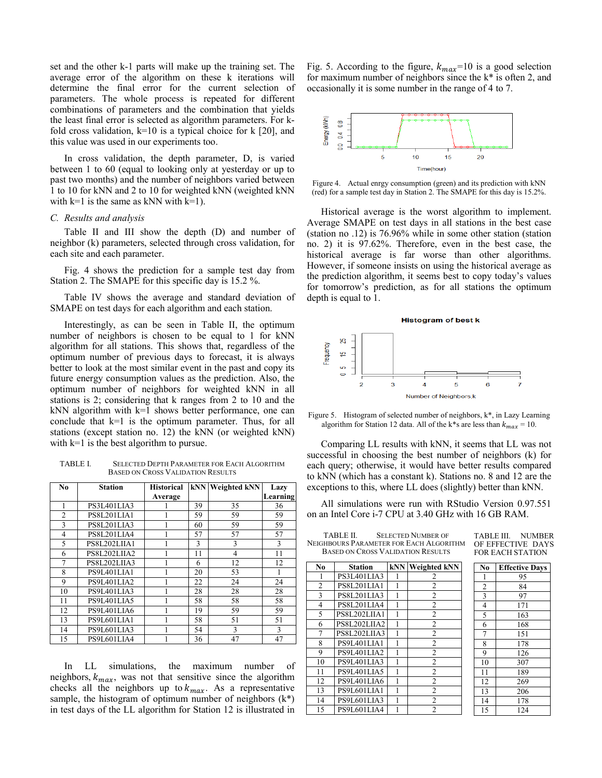set and the other k-1 parts will make up the training set. The average error of the algorithm on these k iterations will determine the final error for the current selection of parameters. The whole process is repeated for different combinations of parameters and the combination that yields the least final error is selected as algorithm parameters. For kfold cross validation,  $k=10$  is a typical choice for k [20], and this value was used in our experiments too.

In cross validation, the depth parameter, D, is varied between 1 to 60 (equal to looking only at yesterday or up to past two months) and the number of neighbors varied between 1 to 10 for kNN and 2 to 10 for weighted kNN (weighted kNN with  $k=1$  is the same as kNN with  $k=1$ ).

## *C. Results and analysis*

Table II and III show the depth (D) and number of neighbor (k) parameters, selected through cross validation, for each site and each parameter.

Fig. 4 shows the prediction for a sample test day from Station 2. The SMAPE for this specific day is 15.2 %.

Table IV shows the average and standard deviation of SMAPE on test days for each algorithm and each station.

Interestingly, as can be seen in Table II, the optimum number of neighbors is chosen to be equal to 1 for kNN algorithm for all stations. This shows that, regardless of the optimum number of previous days to forecast, it is always better to look at the most similar event in the past and copy its future energy consumption values as the prediction. Also, the optimum number of neighbors for weighted kNN in all stations is 2; considering that k ranges from 2 to 10 and the kNN algorithm with k=1 shows better performance, one can conclude that  $k=1$  is the optimum parameter. Thus, for all stations (except station no. 12) the kNN (or weighted kNN) with k=1 is the best algorithm to pursue.

TABLE I. SELECTED DEPTH PARAMETER FOR EACH ALGORITHM BASED ON CROSS VALIDATION RESULTS

| N <sub>0</sub> | <b>Station</b> | <b>Historical</b> | <b>kNN</b> | <b>Weighted kNN</b> | Lazy     |
|----------------|----------------|-------------------|------------|---------------------|----------|
|                |                | Average           |            |                     | Learning |
|                | PS3L401LIA3    |                   | 39         | 35                  | 36       |
| $\overline{2}$ | PS8L201LIA1    |                   | 59         | 59                  | 59       |
| 3              | PS8L201LIA3    |                   | 60         | 59                  | 59       |
| 4              | PS8L201LIA4    |                   | 57         | 57                  | 57       |
| 5              | PS8L202LIIA1   |                   | 3          | 3                   | 3        |
| 6              | PS8L202LIIA2   |                   | 11         | $\overline{4}$      | 11       |
| 7              | PS8L202LIIA3   |                   | 6          | 12                  | 12       |
| 8              | PS9L401LIA1    |                   | 20         | 53                  |          |
| 9              | PS9L401LIA2    |                   | 22         | 24                  | 24       |
| 10             | PS9L401LIA3    |                   | 28         | 28                  | 28       |
| 11             | PS9L401LIA5    |                   | 58         | 58                  | 58       |
| 12             | PS9L401LIA6    |                   | 19         | 59                  | 59       |
| 13             | PS9L601LIA1    |                   | 58         | 51                  | 51       |
| 14             | PS9L601LIA3    |                   | 54         | 3                   | 3        |
| 15             | PS9L601LIA4    |                   | 36         | 47                  | 47       |

In LL simulations, the maximum number of neighbors,  $k_{max}$ , was not that sensitive since the algorithm checks all the neighbors up to  $k_{max}$ . As a representative sample, the histogram of optimum number of neighbors  $(k^*)$ in test days of the LL algorithm for Station 12 is illustrated in

Fig. 5. According to the figure,  $k_{max}$ =10 is a good selection for maximum number of neighbors since the k\* is often 2, and occasionally it is some number in the range of 4 to 7.



Figure 4. Actual enrgy consumption (green) and its prediction with kNN (red) for a sample test day in Station 2. The SMAPE for this day is 15.2%.

Historical average is the worst algorithm to implement. Average SMAPE on test days in all stations in the best case (station no .12) is 76.96% while in some other station (station no. 2) it is 97.62%. Therefore, even in the best case, the historical average is far worse than other algorithms. However, if someone insists on using the historical average as the prediction algorithm, it seems best to copy today's values for tomorrow's prediction, as for all stations the optimum depth is equal to 1.



Figure 5. Histogram of selected number of neighbors, k\*, in Lazy Learning algorithm for Station 12 data. All of the k\*s are less than  $k_{max} = 10$ .

Comparing LL results with kNN, it seems that LL was not successful in choosing the best number of neighbors (k) for each query; otherwise, it would have better results compared to kNN (which has a constant k). Stations no. 8 and 12 are the exceptions to this, where LL does (slightly) better than kNN.

All simulations were run with RStudio Version 0.97.551 on an Intel Core i-7 CPU at 3.40 GHz with 16 GB RAM.

TABLE II. SELECTED NUMBER OF NEIGHBOURS PARAMETER FOR EACH ALGORITHM BASED ON CROSS VALIDATION RESULTS

| TABLE III.              | NI IMBER |
|-------------------------|----------|
| OF EFFECTIVE DAYS       |          |
| <b>FOR EACH STATION</b> |          |

| N <sub>0</sub> | <b>Station</b> | <b>kNN</b> | <b>Weighted kNN</b> |
|----------------|----------------|------------|---------------------|
| 1              | PS3L401LIA3    |            | 2                   |
| $\overline{c}$ | PS8L201LIA1    |            | $\overline{c}$      |
| 3              | PS8L201LIA3    |            | $\overline{2}$      |
| 4              | PS8L201LIA4    |            | $\overline{2}$      |
| 5              | PS8L202LIIA1   |            | $\overline{2}$      |
| 6              | PS8L202LIIA2   |            | $\overline{2}$      |
| 7              | PS8L202LIIA3   | 1          | $\overline{2}$      |
| 8              | PS9L401LIA1    |            | $\overline{c}$      |
| 9              | PS9L401LIA2    |            | $\overline{2}$      |
| 10             | PS9L401LIA3    |            | $\overline{2}$      |
| 11             | PS9L401LIA5    |            | $\overline{2}$      |
| 12             | PS9L401LIA6    |            | $\overline{2}$      |
| 13             | PS9L601LIA1    |            | $\overline{c}$      |
| 14             | PS9L601LIA3    | 1          | $\overline{2}$      |
| 15             | PS9L601LIA4    |            | $\mathfrak{D}$      |

| N <sub>0</sub> | <b>Effective Days</b> |
|----------------|-----------------------|
| 1              | 95                    |
|                | 84                    |
| $\frac{2}{3}$  | 97                    |
|                | 171                   |
| $\overline{5}$ | 163                   |
| $\overline{6}$ | 168                   |
| 7              | 151                   |
| 8              | 178                   |
| $\overline{9}$ | 126                   |
| 10             | 307                   |
| 11             | 189                   |
| 12             | 269                   |
| 13             | 206                   |
| 14             | 178                   |
| 15             | 124                   |